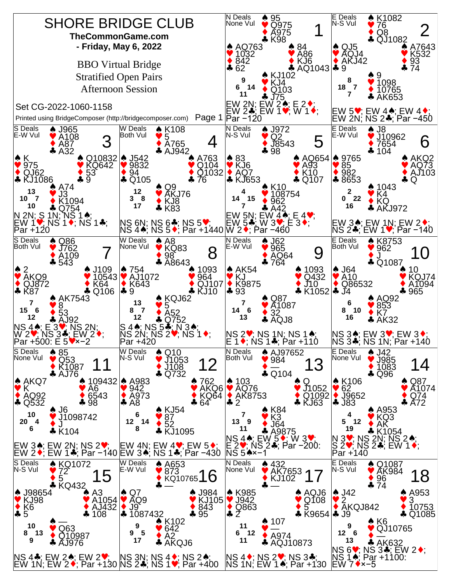